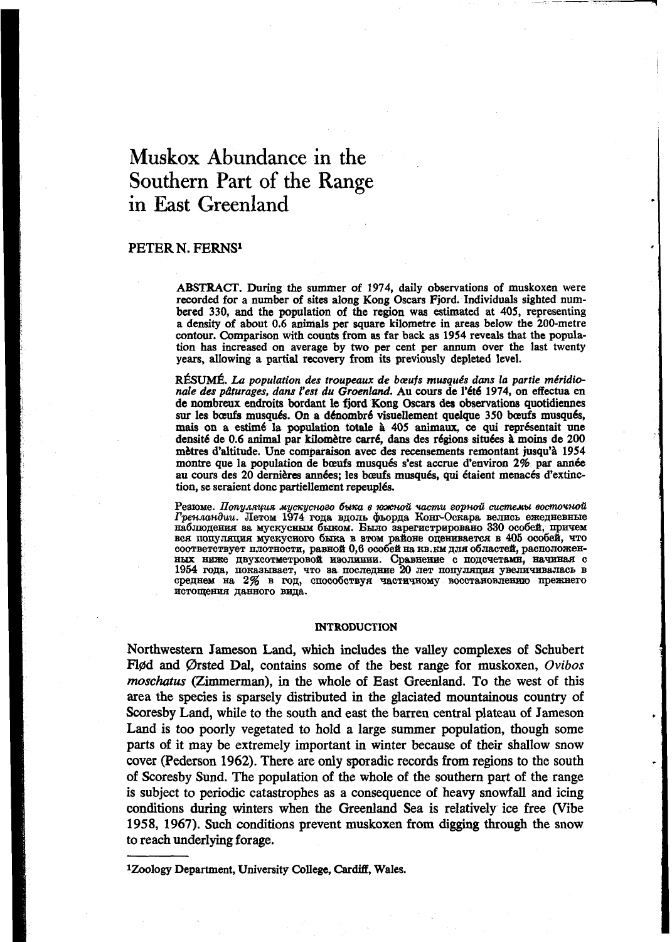# **Muskox** Abundance in the Southern Part of the Range in **East** Greenland

## **PETER** N. **FERNS'**

**ABSTRACT.** During the summer of **1974,** daily observations of muskoxen were recorded for a number of sites along **Kong** Oscars Fjord. Individuals sighted **num**bered **330,** and the population **of** the region was estimated at **405,** representing a density **of** about **0.6 animals** per square kilometre in areas below the 200-metre contour. Comparison with counts from **as far** back **as 1954** reveals that the population **has** increased **on** average by **two** per cent per **annum** over the last twenty years, allowing a partial recovery from its previously depleted level.

RÉSUMÉ. La population des troupeaux de bœufs musqués dans la partie méridio*nale des pdturages, dans l'est du Groenland.* **Au wurs** de *Nt6* **1974, on** effectua en de nombreux endroits bordant le fjord **Kong** Oscars **des** observatiom quotidiennes sur les bœufs musqués. On a dénombré visuellement quelque 350 bœufs musqués, mais on a estimé la population totale à 405 animaux, ce qui représentait une densité de 0.6 animal par kilomètre carré, dans des régions situées à moins de 200 **mhes** d'altitude. Une comparaison avec des recensements remontant jusqu'8 **1954**  montre que la population de bœufs musqués s'est accrue d'environ 2% par année au cours des 20 dernières années; les bœufs musqués, qui étaient menacés d'extinction, se seraient donc partiellement repeuplés.

Резюме. Популяция мускусного быка в южной части горной системы восточной Гренландии. Летом 1974 года вдоль фьорда Конг-Оскара велись ежедневные наблюдения за мускусным быком. Было зарегистрировано 330 особей, причем BCA HOITYJAHHA MYCKYCHOTO **6ska B 8TOM PAHOHE ONEEHBBACTCA B 405 OCO6CH**, TTO и реньшнови, значи года вдоль фьорда тонг-оскара велись свед принем выподения за мускусным быков в этом районе оценивается в 405 особей, причем вся популяция мускусного быка в этом районе оценивается в 405 особей, что соо истощения данного вида.

#### **INTRODUCTION**

Northwestern Jameson Land, which includes the valley complexes **of** Schubert Flød and Ørsted Dal, contains some of the best range for muskoxen, *Ovibos moschutus* (Zimmerman), in the whole **of** East Greenland. **To** the west **of** this area the species is sparsely distributed in the glaciated mountainous country **of**  Scoresby Land, while to the south and east the barren central plateau **of** Jameson Land **is** too poorly vegetated to hold a large summer population, though some parts of it may be extremely important in winter because of their shallow snow cover (Pederson **1962).** There are only sporadic records from regions to the south of Scoresby Sund. The population of the whole **of** the southern part of the range **is** subject to periodic catastrophes as a consequence of heavy **snowfall** and icing conditions during winters when the Greenland Sea **is** relatively ice free (Vibe 1958, **1967).** Such conditions prevent muskoxen **from digging through** the snow to reach underlying forage.

**1Zoology** Department, University College, **Cardiff,** Wales.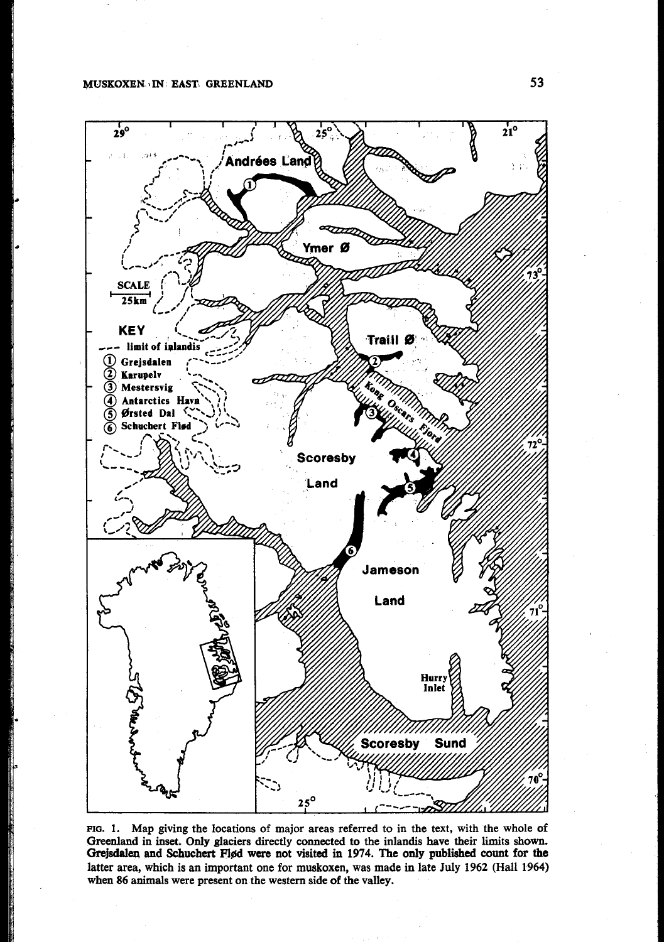

**FIQ. 1.** Map giving the locations of major areas referred to in the text, with the whole **of**  Greenland in inset. Only glaciers directly connected to the inlandis have their limits shown. Grejsdalen and Schuchert Flød were not visited in 1974. The only published count for the latter area, which **is an** important one for muskoxen, was made in late **July 1962** (Hall **1964)**  when **86** animals were present on the western side **of** the valley.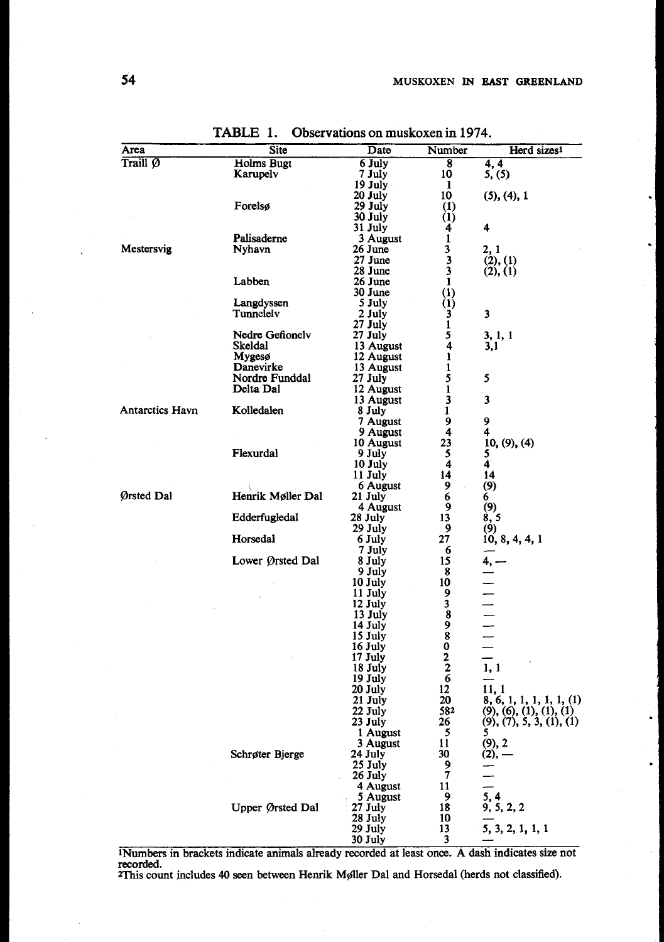| Area               |                        | Site                       | Date                   | Number                                             | Herd sizes1                                                   |  |
|--------------------|------------------------|----------------------------|------------------------|----------------------------------------------------|---------------------------------------------------------------|--|
| Traill $\emptyset$ |                        | <b>Holms</b> Bugt          | 6 July                 | 8                                                  | 4, 4                                                          |  |
|                    |                        | Karupelv                   | 7 July                 | 10                                                 | 5, (5)                                                        |  |
|                    |                        |                            | 19 July<br>20 July     | 1<br>10                                            | $(5)$ , $(4)$ , 1                                             |  |
|                    |                        | Forelsø                    | 29 July                | (1)                                                |                                                               |  |
|                    |                        |                            | 30 July                | (1)                                                |                                                               |  |
|                    |                        |                            | 31 July                | 4                                                  | 4                                                             |  |
|                    |                        | Palisaderne                | 3 August               | $\mathbf{1}$                                       |                                                               |  |
| Mestersvig         |                        | Nyhavn                     | 26 June                | 3                                                  | 2, 1                                                          |  |
|                    |                        |                            | 27 June<br>28 June     | $\overline{\mathbf{3}}$<br>$\overline{\mathbf{3}}$ | (2), (1)<br>(2), (1)                                          |  |
|                    |                        | Labben                     | 26 June                | $\mathbf{1}$                                       |                                                               |  |
|                    |                        |                            | 30 June                |                                                    |                                                               |  |
|                    |                        | Langdyssen                 | 5 July                 | $\begin{pmatrix} 1 \\ 1 \\ 3 \end{pmatrix}$        |                                                               |  |
|                    |                        | Tunnelelv                  | 2 July                 |                                                    | 3                                                             |  |
|                    |                        |                            | 27 July                | $\mathbf{1}$                                       |                                                               |  |
|                    |                        | Nedre Gefionely<br>Skeldal | 27 July                | 5<br>$\overline{4}$                                | 3, 1, 1<br>3,1                                                |  |
|                    |                        | Mygesø                     | 13 August<br>12 August | $\mathbf{1}$                                       |                                                               |  |
|                    |                        | Danevirke                  | 13 August              | $\mathbf{1}$                                       |                                                               |  |
|                    |                        | Nordre Funddal             | 27 July                | 5                                                  | 5                                                             |  |
|                    |                        | Delta Dal                  | 12 August              | $\mathbf{1}$                                       |                                                               |  |
|                    |                        |                            | 13 August              | 3                                                  | 3                                                             |  |
|                    | <b>Antarctics Havn</b> | Kolledalen                 | 8 July                 | 1                                                  |                                                               |  |
|                    |                        |                            | 7 August<br>9 August   | $\frac{9}{4}$                                      | 9<br>4                                                        |  |
|                    |                        |                            | 10 August              |                                                    | 10, (9), (4)                                                  |  |
|                    |                        | Flexurdal                  | 9 July                 | $\begin{array}{c} 23 \\ 5 \\ 4 \end{array}$        |                                                               |  |
|                    |                        |                            | 10 July                |                                                    | $\frac{5}{4}$                                                 |  |
|                    |                        |                            | 11 July                | 14                                                 | 14                                                            |  |
|                    |                        |                            | 6 August               | 9                                                  | $\frac{1}{6}$ (9)                                             |  |
| Ørsted Dal         |                        | Henrik Møller Dal          | $21$ July<br>4 August  | 6<br>9                                             |                                                               |  |
|                    |                        | Edderfugledal              | 28 July                | 13                                                 | $\binom{9}{8,5}$                                              |  |
|                    |                        |                            | 29 July                | 9                                                  | (9)                                                           |  |
|                    |                        | Horsedal                   | 6 July                 | 27                                                 | 10, 8, 4, 4, 1                                                |  |
|                    |                        |                            | 7 July                 | 6                                                  |                                                               |  |
|                    |                        | Lower Ørsted Dal           | 8 July                 | 15                                                 | 4, .                                                          |  |
|                    |                        |                            | 9 July<br>10 July      | 8<br>10                                            |                                                               |  |
|                    |                        |                            | 11 July                | 9                                                  | $\frac{1}{1}$ = $\frac{1}{1}$ = $\frac{1}{1}$ = $\frac{1}{1}$ |  |
|                    |                        |                            | 12 July                |                                                    |                                                               |  |
|                    |                        |                            | 13 July                | $\frac{3}{8}$                                      |                                                               |  |
|                    |                        |                            | 14 July                | 9                                                  |                                                               |  |
|                    |                        |                            | 15 July                | $\overline{\mathbf{8}}$                            | $\equiv$                                                      |  |
|                    |                        |                            | 16 July<br>17 July     | O                                                  |                                                               |  |
|                    |                        |                            | 18 July                | $\frac{2}{2}$<br>6                                 | 1, 1                                                          |  |
|                    |                        |                            | 19 July                |                                                    |                                                               |  |
|                    |                        |                            | 20 July                | 12                                                 | 11, 1                                                         |  |
|                    |                        |                            | 21 July                | 20                                                 | 8, 6, 1, 1, 1, 1, 1, 1, 1)                                    |  |
|                    |                        |                            | 22 July                | 582                                                | $(9), (6), (1), (1), (1)$<br>$(9), (7), 5, 3, (1), (1)$       |  |
|                    |                        |                            | 23 July                | 26                                                 |                                                               |  |
|                    |                        |                            | 1 August<br>3 August   | $\frac{5}{11}$                                     |                                                               |  |
|                    |                        | Schrøter Bjerge            | 24 July                | 30 <sub>l</sub>                                    | $(9, 2)$<br>(2), –                                            |  |
|                    |                        |                            | 25 July                | 9                                                  |                                                               |  |
|                    |                        |                            | 26 July                | $\overline{\mathbf{z}}$                            |                                                               |  |
|                    |                        |                            | 4 August               | 11                                                 |                                                               |  |
|                    |                        |                            | 5 August               | 9                                                  | $\frac{5}{9}$ , $\frac{4}{5}$ , 2, 2                          |  |
|                    |                        | Upper Ørsted Dal           | $27$ July<br>28 July   | 18<br>10                                           |                                                               |  |
|                    |                        |                            | 29 July                | 13                                                 | 5, 3, 2, 1, 1, 1                                              |  |
|                    |                        |                            |                        |                                                    |                                                               |  |

**TABLE 1. Observations** on **muskoxen** in **1974.** 

INumbers **in** brackets indicate animals already recorded at least once. A dash indicates **size** not recorded.<br><sup>2</sup>This count includes 40 seen between Henrik Møller Dal and Horsedal (herds not classified).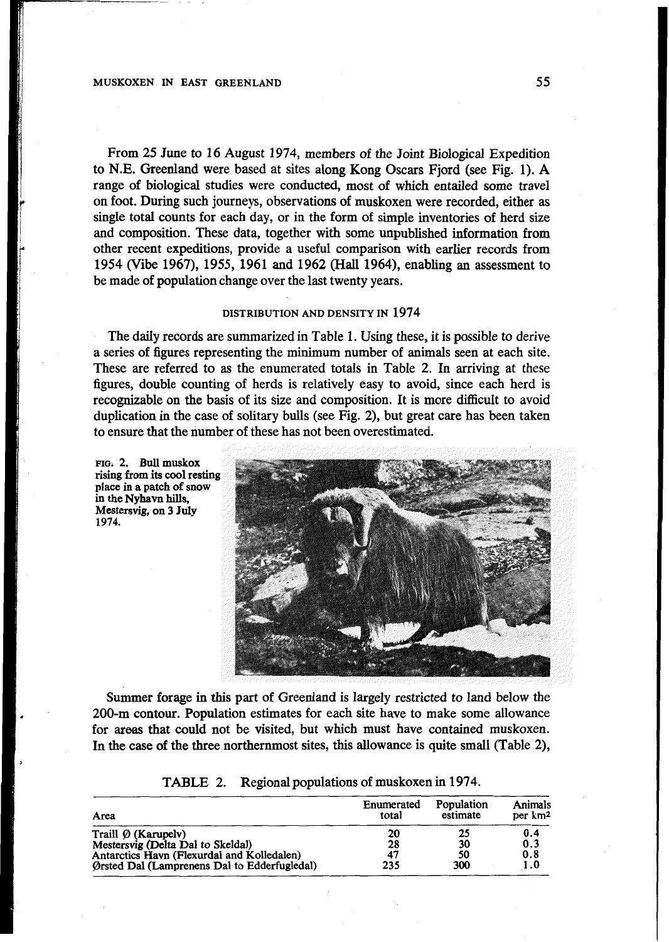# **MUSKOXEN IN EAST GREENLAND 55**

From **25** June to **16** August **1974,** members of the Joint Biological Expedition to **N.E.** Greenland were based at sites along Kong Oscars Fjord (see Fig. **1). A**  range of biological studies were conducted, most of which entailed some travel on foot. **During** such journeys, observations of muskoxen were recorded, either as single total counts for each day, or in the form of simple inventories of herd size and composition. These data, together with some unpublished information from other recent expeditions, provide a useful comparison with earlier records from **1954** (Vibe **1967), 1955, 1961** and **1962** (Hall **1964),** enabling an assessment to be made of population change over the last twenty years.

## **DISTRIBUTION AND DENSITY IN 1974**

The daily records are summarized in Table **1.** Using these, it is possible to derive a series of figures representing the minimum number of animals seen at each site. These are referred to as the enumerated totals in Table **2.** In arriving at these figures, double counting of herds is relatively easy to avoid, since each herd is recognizable on the basis of its size and composition. It is more difficult to avoid duplication in the case of solitary bulls (see Fig. **2),** but great care has been taken to ensure that the number of these has not been overestimated.

**FIOI 2. Bull muskox**  *f***<sub>rising</sub>** *from* **its cool resting place in a patch of snow in the Nyhavn hills, Mestersvig, on 3 July 1974.** 



Summer forage in *this* part **of** Greenland is largely restricted to land below the **200-m** contour. Population estimates for each site have to make some allowance for areas that could not be visited, but which must have contained muskoxen. In the case of the three northernmost sites, this allowance is quite small (Table 2),

|  | TABLE 2. Regional populations of muskoxen in 1974. |  |
|--|----------------------------------------------------|--|
|--|----------------------------------------------------|--|

| Area                                         | Enumerated<br>total | Population<br>estimate | Animals<br>per km <sup>2</sup> |
|----------------------------------------------|---------------------|------------------------|--------------------------------|
| Traill $\emptyset$ (Karupelv)                | 20                  | 25                     | 0.4                            |
| Mestersvig (Delta Dal to Skeldal)            | 28                  | 30                     | 0.3                            |
| Antarctics Havn (Flexurdal and Kolledalen)   | 47                  | 50                     | 0.8                            |
| Orsted Dal (Lamprenens Dal to Edderfugledal) | 235                 | 300                    | 1.0                            |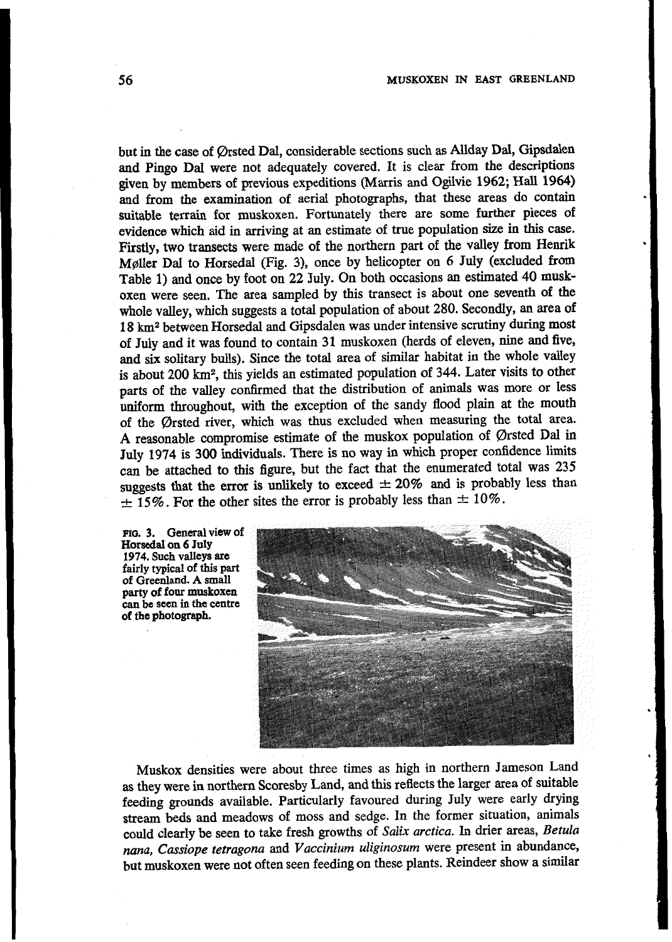but in the case of Ørsted Dal, considerable sections such as Allday Dal, Gipsdalen and Pingo Dal were not adequately covered. It is clear from the descriptions given by members of previous expeditions (Marris and Ogilvie 1962; Hall 1964) and from the examination of aerial photographs, that these areas do contain suitable terrain for muskoxen. Fortunately there are some further pieces of evidence which aid in arriving at an estimate of true population size in this case. Firstly, two transects were made of the northern part of the valley from Henrik Møller Dal to Horsedal (Fig. 3), once by helicopter on 6 July (excluded from Table 1) and once by foot on 22 July. On both occasions an estimated 40 muskoxen were seen. The area sampled by this transect is about one seventh of the whole valley, which suggests a total population of about 280. Secondly, an area of 18 km<sup>2</sup> between Horsedal and Gipsdalen was under intensive scrutiny during most of July and it was found to contain 31 muskoxen (herds of eleven, nine and five, and six solitary bulls). Since the total area of similar habitat in the whole valley is about 200 km<sup>2</sup>, this yields an estimated population of 344. Later visits to other parts of the valley confirmed that the distribution of animals was more or less uniform throughout, with the exception of the sandy flood plain at the mouth of the Ørsted river, which was thus excluded when measuring the total area. A reasonable compromise estimate of the muskox population of Ørsted Dal in July 1974 is 300 individuals. There is no way in which proper confidence limits can be attached to this figure, but the fact that the enumerated total was 235 suggests that the error is unlikely to exceed  $\pm 20\%$  and is probably less than  $\pm$  15%. For the other sites the error is probably less than  $\pm$  10%.

FIG. 3. General view of Horsedal on 6 July 1974. Such valleys are fairly typical of this part of Greenland. A small party of four muskoxen can be seen in the centre of the photograph.



Muskox densities were about three times as high in northern Jameson Land as they were in northern Scoresby Land, and this reflects the larger area of suitable feeding grounds available. Particularly favoured during July were early drying stream beds and meadows of moss and sedge. In the former situation, animals could clearly be seen to take fresh growths of Salix arctica. In drier areas, Betula nana, Cassiope tetragona and Vaccinium uliginosum were present in abundance, but muskoxen were not often seen feeding on these plants. Reindeer show a similar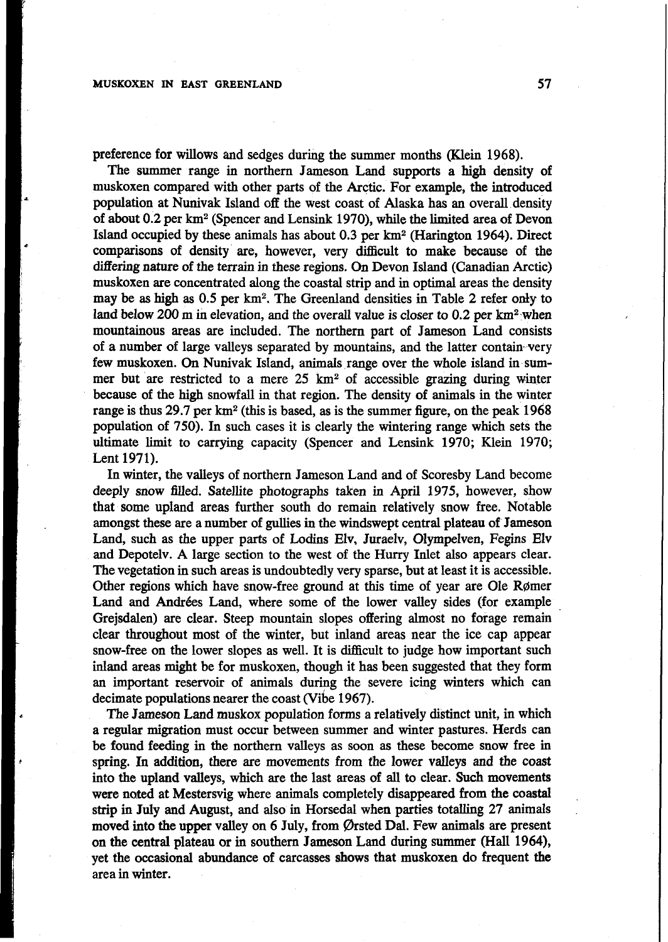preference for willows and sedges during the summer months (Klein **1968).** 

The summer range in northern Jameson Land supports a high density of muskoxen compared with other parts of the Arctic. For example, the introduced population at Nunivak Island **off** the west coast of Alaska has **an** overall density of about **0.2** per km2 (Spencer and Lensink **1970),** while the limited area of Devon Island occupied by these animals has about **0.3** per km2 (Harington **1964).** Direct comparisons of density are, however, very difficult to make because of the differing nature **of** the terrain in these regions. *On* Devon Island (Canadian Arctic) muskoxen are concentrated along the coastal strip and in optimal areas the density may be **as** high **as** *0.5* per **km2.** The Greenland densities in Table **2** refer **ody** to land below **200** m **in** elevation, and the overall value is closer to **0.2** per **km2** .when mountainous areas are included. The northern part of Jameson Land consists of a number of large valleys separated by mountains, and the latter contain very few muskoxen. *On* Nunivak Island, animals,range over the whole island in summer but are restricted to a mere 25 **km2 of** accessible grazing during winter because of the **high** snowfall in that region. The density of animals in the winter range is thus **29.7** per **km2** (this is based, as is the summer figure, on the peak **1968**  population of **750).** In such cases it is clearly the wintering range which sets the ultimate limit to carrying capacity (Spencer and Lensink **1970;** Klein **1970;**  Lent **1971).** 

In winter, the valleys of northern Jameson Land and of Scoresby Land become deeply snow filled. Satellite photographs taken in April 1975, however, show that some upland areas further south do remain relatively snow free. Notable amongst these are a number of gullies in the windswept central plateau of Jameson Land, such as the upper parts of Lodins Elv, Juraelv, Olympelven, Fegins Elv and Depotelv. **A** large section to the west of the Hurry Inlet also appears clear. The vegetation in such areas is undoubtedly very sparse, but at least it is accessible. Other regions which have snow-free ground at this time **of** year are Ole Rgmer Land and Andrées Land, where some of the lower valley sides (for example Grejsdalen) are clear. Steep mountain slopes offering almost **no** forage remain clear throughout most of the winter, but inland areas near the ice cap appear snow-free on the lower slopes as well. It is difficult to judge how important such inland areas might be for muskoxen, though it has been suggested that they form an important reservoir of animals during the severe icing winters which can decimate populations nearer the coast (Vibe **1967).** 

The Jameson Land muskox population forms a relatively distinct unit, in which a regular migration must occur between summer and winter pastures. Herds can be found feeding in the northern valleys as soon as these become snow free in spring. In addition, there are movements from the lower valleys and the coast into the upland valleys, which are the last areas of **all** to clear. Such movements were noted at Mestersvig where animals completely disappeared from the **coastal**  strip in July and August, and also in Horsedal when parties totalling **27** animals moved into the upper valley on *6* July, from Orsted **Dal.** Few animals are present on the central plateau or in southern Jameson Land during summer (Hall **1964),**  yet the occasional abundance of carcasses **shows** that muskoxen do frequent **the**  area in winter.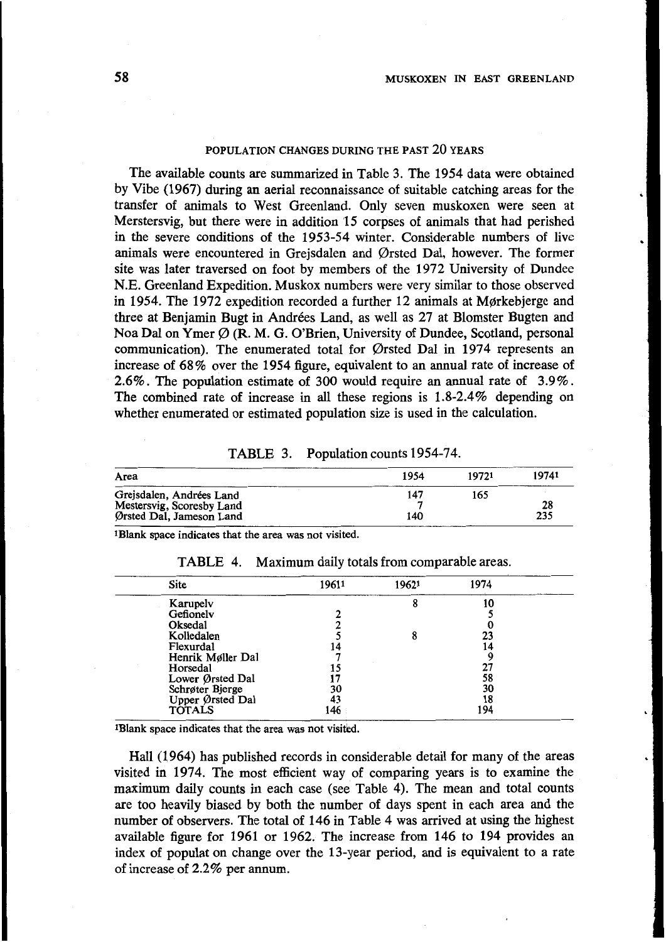## **POPULATION CHANGES DURING THE PAST 20 YEARS**

The available counts are summarized in Table 3. The **1954** data were obtained by Vibe **(1967)** during an aerial reconnaissance of suitable catching areas for the transfer of animals to West Greenland. Only seven muskoxen were seen at Merstersvig, but there were in addition **'15** corpses of animals that had perished in the severe conditions of the **1953-54** winter. Considerable numbers of live animals were encountered in Grejsdalen and Orsted Dal, however. The former site was later traversed on foot by members of the **1972** University of Dundee N.E. Greenland Expedition. Muskox numbers were very similar to those observed in **1954.** The **1972** expedition recorded a further **12** animals at Morkebjerge and three at Benjamin Bugt in Andrées Land, as well as 27 at Blomster Bugten and Noa Dal on Ymer *0* **(R.** M. *G.* O'Brien, University of Dundee, Scotland, personal communication). The enumerated total for Qrsted Dal in **1974** represents an increase of **68%** over the **1954** figure, equivalent to an annual rate of increase of **2.6%.** The population estimate of **300** would require an annual rate of **3.9%.**  The combined rate of increase in all these regions is **1.8-2.4%** depending on whether enumerated or estimated population size is used in the calculation.

| TABLE 3. |  | Population counts 1954-74. |
|----------|--|----------------------------|
|----------|--|----------------------------|

| 19741              | 19721 | 1954 | .<br>Area                     |
|--------------------|-------|------|-------------------------------|
|                    | 165   | 14   | Grejsdalen,<br>, Andrées Land |
|                    |       |      | Mestersvig, Scoresby Land     |
| $\sim$<br>$\cdots$ |       | 140  | Ørsted Dal, Jameson Land      |

**1Blank space indicates that the area was not visited.** 

| Site              | 19611 | 19621 | 1974 |  |
|-------------------|-------|-------|------|--|
| Karupelv          |       |       | 10   |  |
| Gefionelv         |       |       |      |  |
| Oksedal           |       |       |      |  |
| Kolledalen        |       |       | 23   |  |
| Flexurdal         |       |       |      |  |
| Henrik Møller Dal |       |       |      |  |
| Horsedal          |       |       | ا کے |  |
| Lower Ørsted Dal  |       |       | 58   |  |
| Schrøter Bjerge   | 30    |       | 30   |  |
| Upper Ørsted Dal  | 43    |       | 18   |  |
| <b>TOTALS</b>     | 146   |       | 194  |  |
|                   |       |       |      |  |

TABLE **4.** Maximum daily totals from comparable areas.

<sup>1</sup>Blank space indicates that the area was not visited.

Hall **(1964)** has published records in considerable detail for many of the areas visited in **1974.** The most efficient way of comparing years is to examine the maximum daily counts in each case (see Table **4).** The mean and total counts are too heavily biased by both the number of days spent in each area and the number of observers. The total of **146** in Table **4** was arrived at using the highest available figure for **1961** or **1962.** The increase from **146** to **194** provides an index of populat on change over the 13-year period, and is equivalent to a rate of increase **of 2.2%** per annum.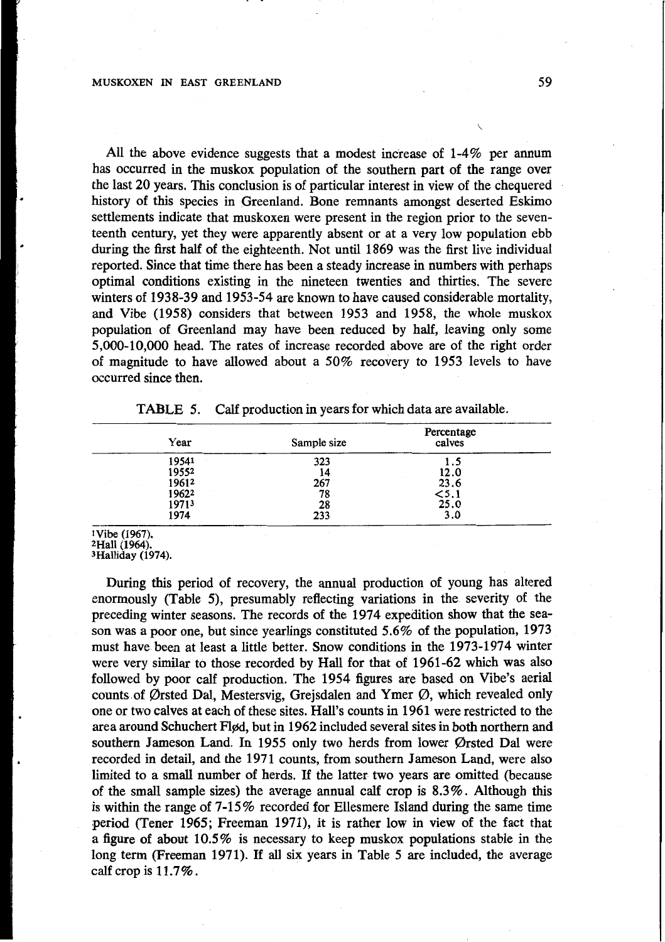## **MUSKOXEN IN EAST GREENLAND 59**

All the above evidence suggests that a modest increase of **1-4%** per annum has occurred in the muskox population of the southern part of the range over the last 20 years. **This** conclusion is *of* particular interest in view of the chequered history of this species in Greenland. Bone remnants amongst deserted Eskimo settlements indicate that muskoxen were present in the region prior to the seventeenth century, yet they were apparently absent or at a very low population ebb during the first **half** of the eighteenth. Not until **1869** was the first live individual reported. Since that time there has been a steady increase in numbers with perhaps optimal conditions existing in the nineteen twenties and thirties. The severe winters of **1938-39** and **1953-54** are known to have caused considerable mortality, and Vibe **(1958)** considers that between **1953** and **1958,** the whole muskox population of Greenland may have been reduced by half, leaving only some **5,000-10,000** head. The rates of increase recorded above are of the right order *of* magnitude to have allowed about a *50%* recovery to **1953** levels to have occurred since then.

| Year  | Sample size | Percentage<br>calves |  |  |  |
|-------|-------------|----------------------|--|--|--|
| 19541 | 323         |                      |  |  |  |
| 19552 | 14          | 12.0                 |  |  |  |
| 19612 | 267         | 23.6                 |  |  |  |
| 19622 | 78          | 5.1                  |  |  |  |
| 19713 | 28          | 25.0                 |  |  |  |
| 1974  | 233         | 3.0                  |  |  |  |

| TABLE 5. |  | Calf production in years for which data are available. |
|----------|--|--------------------------------------------------------|
|----------|--|--------------------------------------------------------|

During this period of recovery, the annual production of young has altered enormously (Table *5),* presumably reflecting variations in the severity of the preceding winter seasons. The records of the **1974** expedition show that the season was a poor one, but since yearlings constituted **5.6%** of the population, **1973**  must have been at least a little better. Snow conditions in the **1973-1974** winter were very similar to those recorded by Hall for that of **1961-62** which was also followed by poor calf production. The **1954** figures are based on Vibe's aerial counts of Ørsted Dal, Mestersvig, Grejsdalen and Ymer  $\varnothing$ , which revealed only one or two calves at each of these sites. Hall's counts in **1961** were restricted to the area around Schuchert Fld, but in **1962** included several sites in both northern and southern Jameson Land. In **1955** only two herds from lower Qrsted Dal were recorded in detail, and the **1971** counts, from southern Jameson Land, were also limited to a small number of herds. If the latter two years are omitted (because of the small sample sizes) the average annual calf crop is **8.3%.** Although this is within the range of **7-15%** recorded for Ellesmere Island during the same time period (Tener **1965;** Freeman **1971),** it is rather low in view of the fact that a figure of about **10.5%** is necessary to keep muskox populations stable in the long term (Freeman **1971).** If all six years in Table *5* are included, the average calf crop is **1 1.7%.** 

**Vibe (1967). 2Hall (1964). 3Halliday (1974).**